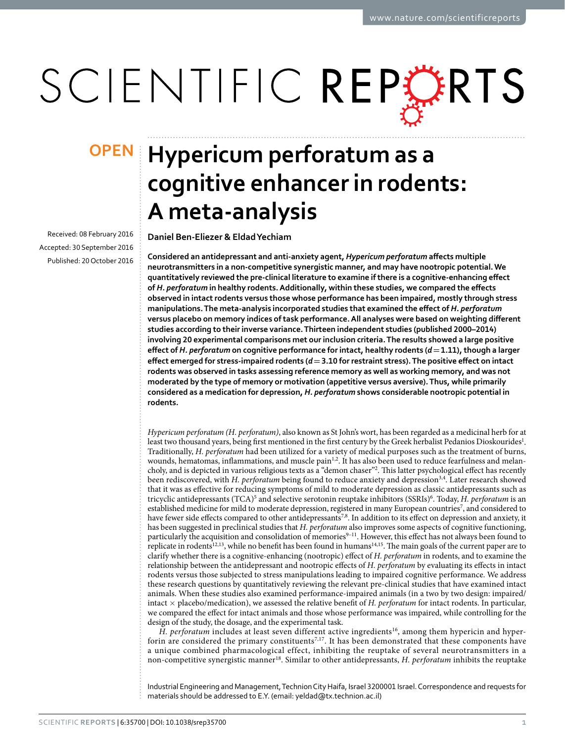# SCIENTIFIC REPERTS

Received: 08 February 2016 accepted: 30 September 2016 Published: 20 October 2016

## **OPEN** Hypericum perforatum as a **cognitive enhancer in rodents: A meta-analysis**

**Daniel Ben-Eliezer & EldadYechiam**

**Considered an antidepressant and anti-anxiety agent,** *Hypericum perforatum* **affects multiple neurotransmitters in a non-competitive synergistic manner, and may have nootropic potential. We quantitatively reviewed the pre-clinical literature to examine if there is a cognitive-enhancing effect of** *H. perforatum* **in healthy rodents. Additionally, within these studies, we compared the effects observed in intact rodents versus those whose performance has been impaired, mostly through stress manipulations. The meta-analysis incorporated studies that examined the effect of** *H. perforatum* **versus placebo on memory indices of task performance. All analyses were based on weighting different studies according to their inverse variance. Thirteen independent studies (published 2000–2014) involving 20 experimental comparisons met our inclusion criteria. The results showed a large positive effect of** *H. perforatum* **on cognitive performance for intact, healthy rodents (***d***=1.11), though a larger effect emerged for stress-impaired rodents (***d***=3.10 for restraint stress). The positive effect on intact rodents was observed in tasks assessing reference memory as well as working memory, and was not moderated by the type of memory or motivation (appetitive versus aversive). Thus, while primarily considered as a medication for depression,** *H. perforatum* **shows considerable nootropic potential in rodents.**

*Hypericum perforatum (H. perforatum)*, also known as St John's wort, has been regarded as a medicinal herb for at least two thousand years, being first mentioned in the first century by the Greek herbalist Pedanios Dioskourides<sup>[1](#page-5-0)</sup>. Traditionally, *H. perforatum* had been utilized for a variety of medical purposes such as the treatment of burns, wounds, hematomas, inflammations, and muscle pain<sup>[1](#page-5-0),2</sup>. It has also been used to reduce fearfulness and melancholy, and is depicted in various religious texts as a "demon chaser["2](#page-5-1) . This latter psychological effect has recently been rediscovered, with *H. perforatum* being found to reduce anxiety and depression<sup>[3](#page-5-2),4</sup>. Later research showed that it was as effective for reducing symptoms of mild to moderate depression as classic antidepressants such as tricyclic antidepressants (TCA)<sup>[5](#page-5-4)</sup> and selective serotonin reuptake inhibitors (SSRIs)<sup>6</sup>. Today, *H. perforatum* is an established medicine for mild to moderate depression, registered in many European countries<sup>7</sup>, and considered to have fewer side effects compared to other antidepressants<sup>[7](#page-5-6),8</sup>. In addition to its effect on depression and anxiety, it has been suggested in preclinical studies that *H. perforatum* also improves some aspects of cognitive functioning, particularly the acquisition and consolidation of memories<sup>[9–11](#page-5-8)</sup>. However, this effect has not always been found to replicate in rodents<sup>[12](#page-6-0),[13](#page-6-1)</sup>, while no benefit has been found in humans<sup>[14](#page-6-2)[,15](#page-6-3)</sup>. The main goals of the current paper are to clarify whether there is a cognitive-enhancing (nootropic) effect of *H. perforatum* in rodents, and to examine the relationship between the antidepressant and nootropic effects of *H. perforatum* by evaluating its effects in intact rodents versus those subjected to stress manipulations leading to impaired cognitive performance. We address these research questions by quantitatively reviewing the relevant pre-clinical studies that have examined intact animals. When these studies also examined performance-impaired animals (in a two by two design: impaired/ intact × placebo/medication), we assessed the relative benefit of *H. perforatum* for intact rodents. In particular, we compared the effect for intact animals and those whose performance was impaired, while controlling for the design of the study, the dosage, and the experimental task.

*H. perforatum* includes at least seven different active ingredients<sup>16</sup>, among them hypericin and hyper-forin are considered the primary constituents<sup>[7,](#page-5-6)[17](#page-6-5)</sup>. It has been demonstrated that these components have a unique combined pharmacological effect, inhibiting the reuptake of several neurotransmitters in a non-competitive synergistic manner[18](#page-6-6). Similar to other antidepressants, *H. perforatum* inhibits the reuptake

Industrial Engineering and Management, Technion City Haifa, Israel 3200001 Israel. Correspondence and requests for materials should be addressed to E.Y. (email: [yeldad@tx.technion.ac.il\)](mailto:yeldad@tx.technion.ac.il)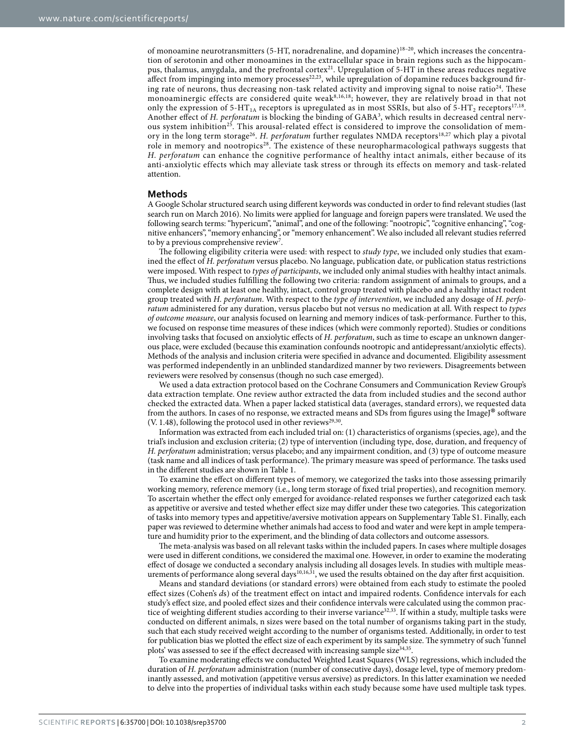of monoamine neurotransmitters (5-HT, noradrenaline, and dopamine[\)18–20,](#page-6-6) which increases the concentration of serotonin and other monoamines in the extracellular space in brain regions such as the hippocam-pus, thalamus, amygdala, and the prefrontal cortex<sup>[21](#page-6-7)</sup>. Upregulation of 5-HT in these areas reduces negative affect from impinging into memory processes $22,23$  $22,23$ , while upregulation of dopamine reduces background firing rate of neurons, thus decreasing non-task related activity and improving signal to noise ratio<sup>24</sup>. These monoaminergic effects are considered quite weak $8,16,18$  $8,16,18$  $8,16,18$ ; however, they are relatively broad in that not only the expression of 5-HT<sub>1A</sub> receptors is upregulated as in most SSRIs, but also of 5-HT<sub>2</sub> receptors<sup>17,18</sup>. Another effect of *H. perforatum* is blocking the binding of GAB[A3](#page-5-2) , which results in decreased central nervous system inhibition<sup>25</sup>. This arousal-related effect is considered to improve the consolidation of mem-ory in the long term storage<sup>[26](#page-6-12)</sup>. *H. perforatum* further regulates NMDA receptors<sup>[18](#page-6-6),27</sup> which play a pivotal role in memory and nootropics<sup>28</sup>. The existence of these neuropharmacological pathways suggests that *H. perforatum* can enhance the cognitive performance of healthy intact animals, either because of its anti-anxiolytic effects which may alleviate task stress or through its effects on memory and task-related attention.

#### **Methods**

A Google Scholar structured search using different keywords was conducted in order to find relevant studies (last search run on March 2016). No limits were applied for language and foreign papers were translated. We used the following search terms: "hypericum", "animal", and one of the following: "nootropic", "cognitive enhancing", "cognitive enhancers", "memory enhancing", or "memory enhancement". We also included all relevant studies referred to by a previous comprehensive review<sup>7</sup>.

The following eligibility criteria were used: with respect to *study type*, we included only studies that examined the effect of *H. perforatum* versus placebo. No language, publication date, or publication status restrictions were imposed. With respect to *types of participants*, we included only animal studies with healthy intact animals. Thus, we included studies fulfilling the following two criteria: random assignment of animals to groups, and a complete design with at least one healthy, intact, control group treated with placebo and a healthy intact rodent group treated with *H. perforatum*. With respect to the *type of intervention*, we included any dosage of *H. perforatum* administered for any duration, versus placebo but not versus no medication at all. With respect to *types of outcome measure*, our analysis focused on learning and memory indices of task-performance. Further to this, we focused on response time measures of these indices (which were commonly reported). Studies or conditions involving tasks that focused on anxiolytic effects of *H. perforatum*, such as time to escape an unknown dangerous place, were excluded (because this examination confounds nootropic and antidepressant/anxiolytic effects). Methods of the analysis and inclusion criteria were specified in advance and documented. Eligibility assessment was performed independently in an unblinded standardized manner by two reviewers. Disagreements between reviewers were resolved by consensus (though no such case emerged).

We used a data extraction protocol based on the Cochrane Consumers and Communication Review Group's data extraction template. One review author extracted the data from included studies and the second author checked the extracted data. When a paper lacked statistical data (averages, standard errors), we requested data from the authors. In cases of no response, we extracted means and SDs from figures using the ImageJ® software (V. 1.48), following the protocol used in other reviews<sup>[29](#page-6-15),[30](#page-6-16)</sup>.

Information was extracted from each included trial on: (1) characteristics of organisms (species, age), and the trial's inclusion and exclusion criteria; (2) type of intervention (including type, dose, duration, and frequency of *H. perforatum* administration; versus placebo; and any impairment condition, and (3) type of outcome measure (task name and all indices of task performance). The primary measure was speed of performance. The tasks used in the different studies are shown in [Table 1.](#page-2-0)

To examine the effect on different types of memory, we categorized the tasks into those assessing primarily working memory, reference memory (i.e., long term storage of fixed trial properties), and recognition memory. To ascertain whether the effect only emerged for avoidance-related responses we further categorized each task as appetitive or aversive and tested whether effect size may differ under these two categories. This categorization of tasks into memory types and appetitive/aversive motivation appears on Supplementary Table S1. Finally, each paper was reviewed to determine whether animals had access to food and water and were kept in ample temperature and humidity prior to the experiment, and the blinding of data collectors and outcome assessors.

The meta-analysis was based on all relevant tasks within the included papers. In cases where multiple dosages were used in different conditions, we considered the maximal one. However, in order to examine the moderating effect of dosage we conducted a secondary analysis including all dosages levels. In studies with multiple meas-urements of performance along several days<sup>[10](#page-6-17),[16](#page-6-4)[,31](#page-6-18)</sup>, we used the results obtained on the day after first acquisition.

Means and standard deviations (or standard errors) were obtained from each study to estimate the pooled effect sizes (Cohen's *d*s) of the treatment effect on intact and impaired rodents. Confidence intervals for each study's effect size, and pooled effect sizes and their confidence intervals were calculated using the common prac-tice of weighting different studies according to their inverse variance<sup>[32](#page-6-19),[33](#page-6-20)</sup>. If within a study, multiple tasks were conducted on different animals, n sizes were based on the total number of organisms taking part in the study, such that each study received weight according to the number of organisms tested. Additionally, in order to test for publication bias we plotted the effect size of each experiment by its sample size. The symmetry of such 'funnel plots' was assessed to see if the effect decreased with increasing sample size $34,35$  $34,35$ .

To examine moderating effects we conducted Weighted Least Squares (WLS) regressions, which included the duration of *H. perforatum* administration (number of consecutive days), dosage level, type of memory predominantly assessed, and motivation (appetitive versus aversive) as predictors. In this latter examination we needed to delve into the properties of individual tasks within each study because some have used multiple task types.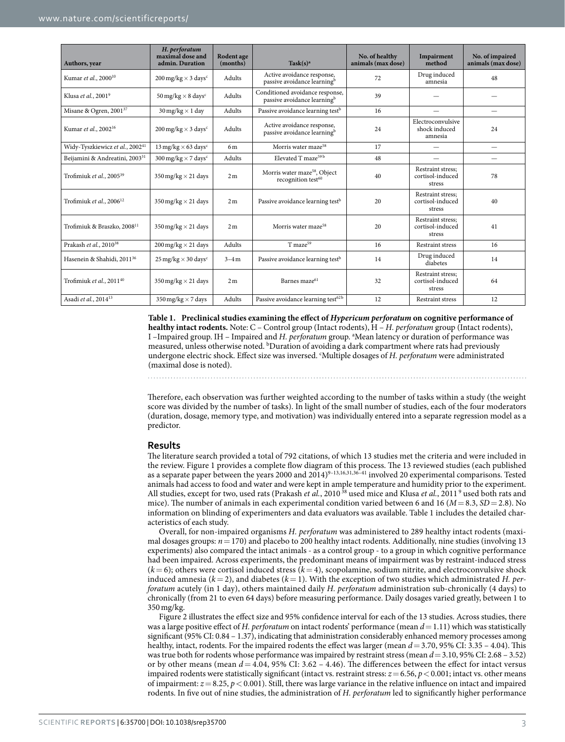<span id="page-2-0"></span>

| Authors, year                              | H. perforatum<br>maximal dose and<br>admin. Duration         | Rodent age<br>(months) | Task $(s)^a$                                                               | No. of healthy<br>animals (max dose) | Impairment<br>method                            | No. of impaired<br>animals (max dose) |
|--------------------------------------------|--------------------------------------------------------------|------------------------|----------------------------------------------------------------------------|--------------------------------------|-------------------------------------------------|---------------------------------------|
| Kumar et al., 2000 <sup>10</sup>           | $200 \,\mathrm{mg/kg} \times 3 \,\mathrm{days}^{\mathrm{c}}$ | Adults                 | Active avoidance response,<br>passive avoidance learning <sup>b</sup>      | 72                                   | Drug induced<br>amnesia                         | 48                                    |
| Klusa et al., 2001 <sup>9</sup>            | $50 \,\mathrm{mg/kg} \times 8 \,\mathrm{days}^{\mathrm{c}}$  | Adults                 | Conditioned avoidance response,<br>passive avoidance learning <sup>b</sup> | 39                                   |                                                 |                                       |
| Misane & Ogren, 2001 <sup>37</sup>         | $30 \,\mathrm{mg/kg} \times 1 \,\mathrm{day}$                | Adults                 | Passive avoidance learning test <sup>b</sup>                               | 16                                   |                                                 |                                       |
| Kumar et al., 2002 <sup>16</sup>           | $200 \,\text{mg/kg} \times 3 \,\text{days}^{\text{c}}$       | Adults                 | Active avoidance response,<br>passive avoidance learning <sup>b</sup>      | 24                                   | Electroconvulsive<br>shock induced<br>amnesia   | 24                                    |
| Widy-Tyszkiewicz et al., 200241            | $13 \,\mathrm{mg/kg} \times 63 \,\mathrm{days}^c$            | 6 <sub>m</sub>         | Morris water maze <sup>58</sup>                                            | 17                                   |                                                 | $\overline{\phantom{0}}$              |
| Beijamini & Andreatini, 2003 <sup>31</sup> | $300 \,\mathrm{mg/kg} \times 7 \,\mathrm{days}^{\mathrm{c}}$ | Adults                 | Elevated T maze <sup>59 b</sup>                                            | 48                                   | $\overline{\phantom{0}}$                        | —                                     |
| Trofimiuk et al., 2005 <sup>39</sup>       | 350 mg/kg $\times$ 21 days                                   | 2 <sub>m</sub>         | Morris water maze <sup>58</sup> , Object<br>recognition test <sup>60</sup> | 40                                   | Restraint stress:<br>cortisol-induced<br>stress | 78                                    |
| Trofimiuk et al., 2006 <sup>12</sup>       | 350 mg/kg $\times$ 21 days                                   | 2 <sub>m</sub>         | Passive avoidance learning test <sup>b</sup>                               | 20                                   | Restraint stress:<br>cortisol-induced<br>stress | 40                                    |
| Trofimiuk & Braszko, 2008 <sup>11</sup>    | 350 mg/kg $\times$ 21 days                                   | 2 <sub>m</sub>         | Morris water maze <sup>58</sup>                                            | 20                                   | Restraint stress:<br>cortisol-induced<br>stress | 41                                    |
| Prakash et al., 2010 <sup>38</sup>         | $200 \,\mathrm{mg/kg} \times 21 \,\mathrm{days}$             | Adults                 | T maze <sup>59</sup>                                                       | 16                                   | <b>Restraint stress</b>                         | 16                                    |
| Hasenein & Shahidi, 2011 <sup>36</sup>     | $25 \,\text{mg/kg} \times 30 \,\text{days}^{\text{c}}$       | $3-4m$                 | Passive avoidance learning test <sup>b</sup>                               | 14                                   | Drug induced<br>diabetes                        | 14                                    |
| Trofimiuk et al., 2011 <sup>40</sup>       | 350 mg/kg $\times$ 21 days                                   | 2 <sub>m</sub>         | Barnes maze <sup>61</sup>                                                  | 32                                   | Restraint stress:<br>cortisol-induced<br>stress | 64                                    |
| Asadi et al., 2014 <sup>13</sup>           | $350 \,\mathrm{mg/kg} \times 7 \,\mathrm{days}$              | Adults                 | Passive avoidance learning test <sup>62b</sup>                             | 12                                   | <b>Restraint stress</b>                         | 12                                    |

Table 1. Preclinical studies examining the effect of *Hypericum perforatum* on cognitive performance of **healthy intact rodents.** Note: C – Control group (Intact rodents), H – *H. perforatum* group (Intact rodents), I –Impaired group. IH – Impaired and *H. perforatum* group. a Mean latency or duration of performance was measured, unless otherwise noted. <sup>b</sup>Duration of avoiding a dark compartment where rats had previously undergone electric shock. Effect size was inversed. c Multiple dosages of *H. perforatum* were administrated (maximal dose is noted).

Therefore, each observation was further weighted according to the number of tasks within a study (the weight score was divided by the number of tasks). In light of the small number of studies, each of the four moderators (duration, dosage, memory type, and motivation) was individually entered into a separate regression model as a predictor.

### **Results**

The literature search provided a total of 792 citations, of which 13 studies met the criteria and were included in the review. [Figure 1](#page-3-0) provides a complete flow diagram of this process. The 13 reviewed studies (each published as a separate paper between the years 2000 and  $2014$ ) $^{9-13,16,31,36-41}$  $^{9-13,16,31,36-41}$  $^{9-13,16,31,36-41}$  $^{9-13,16,31,36-41}$  involved 20 experimental comparisons. Tested animals had access to food and water and were kept in ample temperature and humidity prior to the experiment. All studies, except for two, used rats (Prakash *et al.*, 2010 [38](#page-6-24) used mice and Klusa *et al.*, 2011 [9](#page-5-8) used both rats and mice). The number of animals in each experimental condition varied between 6 and 16 (*M*= 8.3, *SD*= 2.8). No information on blinding of experimenters and data evaluators was available. [Table 1](#page-2-0) includes the detailed characteristics of each study.

Overall, for non-impaired organisms *H. perforatum* was administered to 289 healthy intact rodents (maximal dosages groups:  $n=170$ ) and placebo to 200 healthy intact rodents. Additionally, nine studies (involving 13 experiments) also compared the intact animals - as a control group - to a group in which cognitive performance had been impaired. Across experiments, the predominant means of impairment was by restraint-induced stress  $(k= 6)$ ; others were cortisol induced stress  $(k = 4)$ , scopolamine, sodium nitrite, and electroconvulsive shock induced amnesia  $(k=2)$ , and diabetes  $(k=1)$ . With the exception of two studies which administrated *H. perforatum* acutely (in 1 day), others maintained daily *H. perforatum* administration sub-chronically (4 days) to chronically (from 21 to even 64 days) before measuring performance. Daily dosages varied greatly, between 1 to 350mg/kg.

[Figure 2](#page-4-0) illustrates the effect size and 95% confidence interval for each of the 13 studies. Across studies, there was a large positive effect of *H. perforatum* on intact rodents' performance (mean  $d=1.11$ ) which was statistically significant (95% CI: 0.84 – 1.37), indicating that administration considerably enhanced memory processes among healthy, intact, rodents. For the impaired rodents the effect was larger (mean *d*=3.70, 95% CI: 3.35 – 4.04). This was true both for rodents whose performance was impaired by restraint stress (mean *d*= 3.10, 95% CI: 2.68 – 3.52) or by other means (mean *d*= 4.04, 95% CI: 3.62 – 4.46). The differences between the effect for intact versus impaired rodents were statistically significant (intact vs. restraint stress:  $z = 6.56$ ,  $p < 0.001$ ; intact vs. other means of impairment: *z*=8.25, *p*<0.001). Still, there was large variance in the relative influence on intact and impaired rodents. In five out of nine studies, the administration of *H. perforatum* led to significantly higher performance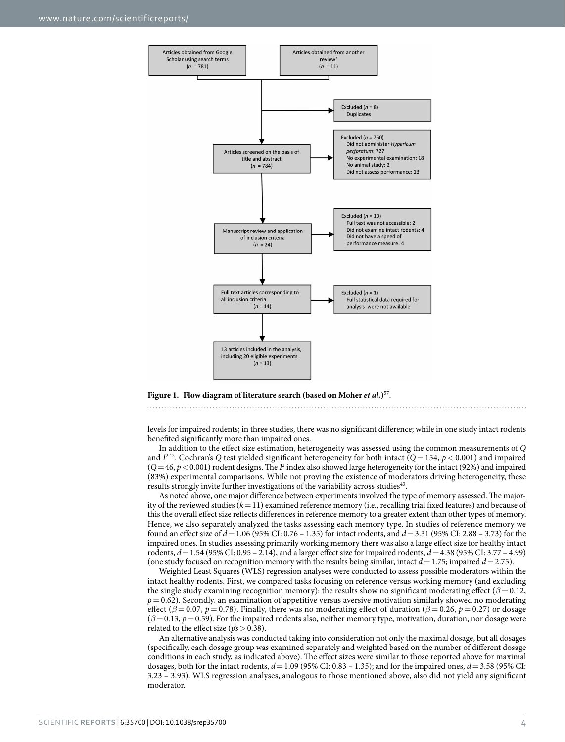

<span id="page-3-0"></span>**Figure 1. Flow diagram of literature search (based on Moher** *et al.***)**[57](#page-7-5).

levels for impaired rodents; in three studies, there was no significant difference; while in one study intact rodents benefited significantly more than impaired ones.

In addition to the effect size estimation, heterogeneity was assessed using the common measurements of *Q* and  $I^{242}$  $I^{242}$  $I^{242}$ . Cochran's Q test yielded significant heterogeneity for both intact ( $Q = 154$ ,  $p < 0.001$ ) and impaired  $(Q=46, p<0.001)$  rodent designs. The  $I^2$  index also showed large heterogeneity for the intact (92%) and impaired (83%) experimental comparisons. While not proving the existence of moderators driving heterogeneity, these results strongly invite further investigations of the variability across studies[43](#page-6-31).

As noted above, one major difference between experiments involved the type of memory assessed. The majority of the reviewed studies (*k*=11) examined reference memory (i.e., recalling trial fixed features) and because of this the overall effect size reflects differences in reference memory to a greater extent than other types of memory. Hence, we also separately analyzed the tasks assessing each memory type. In studies of reference memory we found an effect size of *d*=1.06 (95% CI: 0.76 – 1.35) for intact rodents, and *d*=3.31 (95% CI: 2.88 – 3.73) for the impaired ones. In studies assessing primarily working memory there was also a large effect size for healthy intact rodents, *d*= 1.54 (95% CI: 0.95 – 2.14), and a larger effect size for impaired rodents, *d*= 4.38 (95% CI: 3.77 – 4.99) (one study focused on recognition memory with the results being similar, intact  $d=1.75$ ; impaired  $d=2.75$ ).

Weighted Least Squares (WLS) regression analyses were conducted to assess possible moderators within the intact healthy rodents. First, we compared tasks focusing on reference versus working memory (and excluding the single study examining recognition memory): the results show no significant moderating effect ( $\beta$  = 0.12, *p* = 0.62). Secondly, an examination of appetitive versus aversive motivation similarly showed no moderating effect ( $\beta$  = 0.07, *p* = 0.78). Finally, there was no moderating effect of duration ( $\beta$  = 0.26, *p* = 0.27) or dosage ( $\beta$ =0.13,  $p$  =0.59). For the impaired rodents also, neither memory type, motivation, duration, nor dosage were related to the effect size ( $p's > 0.38$ ).

An alternative analysis was conducted taking into consideration not only the maximal dosage, but all dosages (specifically, each dosage group was examined separately and weighted based on the number of different dosage conditions in each study, as indicated above). The effect sizes were similar to those reported above for maximal dosages, both for the intact rodents,  $d = 1.09$  (95% CI: 0.83 – 1.35); and for the impaired ones,  $d = 3.58$  (95% CI: 3.23 – 3.93). WLS regression analyses, analogous to those mentioned above, also did not yield any significant moderator.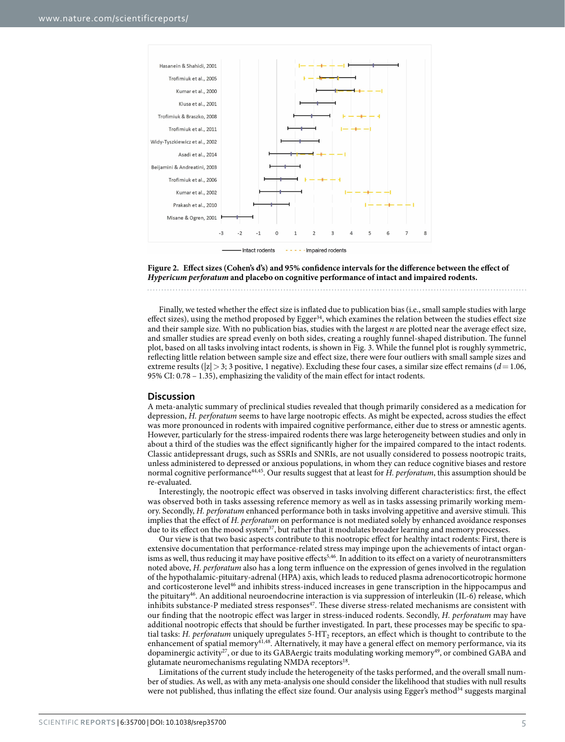

#### <span id="page-4-0"></span>**Figure 2. Effect sizes (Cohen's d's) and 95% confidence intervals for the difference between the effect of**  *Hypericum perforatum* **and placebo on cognitive performance of intact and impaired rodents.**

Finally, we tested whether the effect size is inflated due to publication bias (i.e., small sample studies with large effect sizes), using the method proposed by Egger<sup>[34](#page-6-21)</sup>, which examines the relation between the studies effect size and their sample size. With no publication bias, studies with the largest *n* are plotted near the average effect size, and smaller studies are spread evenly on both sides, creating a roughly funnel-shaped distribution. The funnel plot, based on all tasks involving intact rodents, is shown in [Fig. 3](#page-5-9). While the funnel plot is roughly symmetric, reflecting little relation between sample size and effect size, there were four outliers with small sample sizes and extreme results (|z|>3; 3 positive, 1 negative). Excluding these four cases, a similar size effect remains (*d*=1.06, 95% CI: 0.78 – 1.35), emphasizing the validity of the main effect for intact rodents.

#### **Discussion**

A meta-analytic summary of preclinical studies revealed that though primarily considered as a medication for depression, *H. perforatum* seems to have large nootropic effects. As might be expected, across studies the effect was more pronounced in rodents with impaired cognitive performance, either due to stress or amnestic agents. However, particularly for the stress-impaired rodents there was large heterogeneity between studies and only in about a third of the studies was the effect significantly higher for the impaired compared to the intact rodents. Classic antidepressant drugs, such as SSRIs and SNRIs, are not usually considered to possess nootropic traits, unless administered to depressed or anxious populations, in whom they can reduce cognitive biases and restore normal cognitive performanc[e44,](#page-6-32)[45.](#page-6-33) Our results suggest that at least for *H. perforatum*, this assumption should be re-evaluated.

Interestingly, the nootropic effect was observed in tasks involving different characteristics: first, the effect was observed both in tasks assessing reference memory as well as in tasks assessing primarily working memory. Secondly, *H. perforatum* enhanced performance both in tasks involving appetitive and aversive stimuli. This implies that the effect of *H. perforatum* on performance is not mediated solely by enhanced avoidance responses due to its effect on the mood system<sup>37</sup>, but rather that it modulates broader learning and memory processes.

Our view is that two basic aspects contribute to this nootropic effect for healthy intact rodents: First, there is extensive documentation that performance-related stress may impinge upon the achievements of intact organ-isms as well, thus reducing it may have positive effects<sup>5[,46](#page-6-34)</sup>. In addition to its effect on a variety of neurotransmitters noted above, *H. perforatum* also has a long term influence on the expression of genes involved in the regulation of the hypothalamic-pituitary-adrenal (HPA) axis, which leads to reduced plasma adrenocorticotropic hormone and corticosterone level<sup>46</sup> and inhibits stress-induced increases in gene transcription in the hippocampus and the pituitar[y46](#page-6-34). An additional neuroendocrine interaction is via suppression of interleukin (IL-6) release, which inhibits substance-P mediated stress responses<sup>47</sup>. These diverse stress-related mechanisms are consistent with our finding that the nootropic effect was larger in stress-induced rodents. Secondly, *H. perforatum* may have additional nootropic effects that should be further investigated. In part, these processes may be specific to spatial tasks: *H. perforatum* uniquely upregulates 5-HT<sub>2</sub> receptors, an effect which is thought to contribute to the enhancement of spatial memory<sup>41[,48](#page-6-36)</sup>. Alternatively, it may have a general effect on memory performance, via its dopaminergic activity<sup>27</sup>, or due to its GABAergic traits modulating working memory<sup>49</sup>, or combined GABA and glutamate neuromechanisms regulating NMDA receptors<sup>18</sup>.

Limitations of the current study include the heterogeneity of the tasks performed, and the overall small number of studies. As well, as with any meta-analysis one should consider the likelihood that studies with null results were not published, thus inflating the effect size found. Our analysis using Egger's method<sup>34</sup> suggests marginal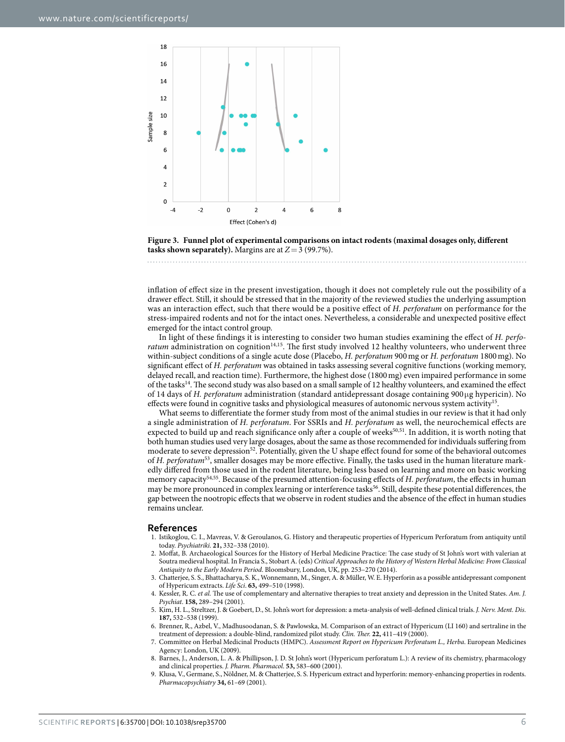

<span id="page-5-9"></span>**Figure 3. Funnel plot of experimental comparisons on intact rodents (maximal dosages only, different tasks shown separately).** Margins are at  $Z = 3$  (99.7%).

inflation of effect size in the present investigation, though it does not completely rule out the possibility of a drawer effect. Still, it should be stressed that in the majority of the reviewed studies the underlying assumption was an interaction effect, such that there would be a positive effect of *H. perforatum* on performance for the stress-impaired rodents and not for the intact ones. Nevertheless, a considerable and unexpected positive effect emerged for the intact control group.

In light of these findings it is interesting to consider two human studies examining the effect of *H. perforatum* administration on cognition<sup>14[,15](#page-6-3)</sup>. The first study involved 12 healthy volunteers, who underwent three within-subject conditions of a single acute dose (Placebo, *H. perforatum* 900mg or *H. perforatum* 1800mg). No significant effect of *H. perforatum* was obtained in tasks assessing several cognitive functions (working memory, delayed recall, and reaction time). Furthermore, the highest dose (1800mg) even impaired performance in some of the tasks[14](#page-6-2). The second study was also based on a small sample of 12 healthy volunteers, and examined the effect of 14 days of *H. perforatum* administration (standard antidepressant dosage containing 900μg hypericin). No effects were found in cognitive tasks and physiological measures of autonomic nervous system activity[15](#page-6-3).

What seems to differentiate the former study from most of the animal studies in our review is that it had only a single administration of *H. perforatum*. For SSRIs and *H. perforatum* as well, the neurochemical effects are expected to build up and reach significance only after a couple of weeks<sup>[50,](#page-6-38)51</sup>. In addition, it is worth noting that both human studies used very large dosages, about the same as those recommended for individuals suffering from moderate to severe depression<sup>[52](#page-7-6)</sup>. Potentially, given the U shape effect found for some of the behavioral outcomes of *H. perforatum*[53](#page-7-7), smaller dosages may be more effective. Finally, the tasks used in the human literature markedly differed from those used in the rodent literature, being less based on learning and more on basic working memory capacity[54](#page-7-8),[55](#page-7-9). Because of the presumed attention-focusing effects of *H. perforatum*, the effects in human may be more pronounced in complex learning or interference tasks<sup>56</sup>. Still, despite these potential differences, the gap between the nootropic effects that we observe in rodent studies and the absence of the effect in human studies remains unclear.

#### **References**

- <span id="page-5-0"></span>1. Istikoglou, C. I., Mavreas, V. & Geroulanos, G. History and therapeutic properties of Hypericum Perforatum from antiquity until today. *Psychiatriki*. **21,** 332–338 (2010).
- <span id="page-5-1"></span>2. Moffat, B. Archaeological Sources for the History of Herbal Medicine Practice: The case study of St John's wort with valerian at Soutra medieval hospital. In Francia S., Stobart A. (eds) *Critical Approaches to the History of Western Herbal Medicine: From Classical Antiquity to the Early Modern Period*. Bloomsbury, London, UK, pp. 253–270 (2014).
- <span id="page-5-2"></span>3. Chatterjee, S. S., Bhattacharya, S. K., Wonnemann, M., Singer, A. & Müller, W. E. Hyperforin as a possible antidepressant component of Hypericum extracts. *Life Sci*. **63,** 499–510 (1998).
- <span id="page-5-3"></span>4. Kessler, R. C. *et al.* The use of complementary and alternative therapies to treat anxiety and depression in the United States. *Am. J. Psychiat*. **158,** 289–294 (2001).
- <span id="page-5-4"></span>5. Kim, H. L., Streltzer, J. & Goebert, D., St. John's wort for depression: a meta-analysis of well-defined clinical trials. *J. Nerv. Ment. Dis.* **187,** 532–538 (1999).
- <span id="page-5-5"></span>6. Brenner, R., Azbel, V., Madhusoodanan, S. & Pawlowska, M. Comparison of an extract of Hypericum (LI 160) and sertraline in the treatment of depression: a double-blind, randomized pilot study. *Clin. Ther.* **22,** 411–419 (2000).
- <span id="page-5-6"></span>7. Committee on Herbal Medicinal Products (HMPC). *Assessment Report on Hypericum Perforatum L., Herba*. European Medicines Agency: London, UK (2009).
- <span id="page-5-7"></span>8. Barnes, J., Anderson, L. A. & Phillipson, J. D. St John's wort (Hypericum perforatum L.): A review of its chemistry, pharmacology and clinical properties. *J. Pharm. Pharmacol*. **53,** 583–600 (2001).
- <span id="page-5-8"></span>9. Klusa, V., Germane, S., Nöldner, M. & Chatterjee, S. S. Hypericum extract and hyperforin: memory-enhancing properties in rodents. *Pharmacopsychiatry* **34,** 61–69 (2001).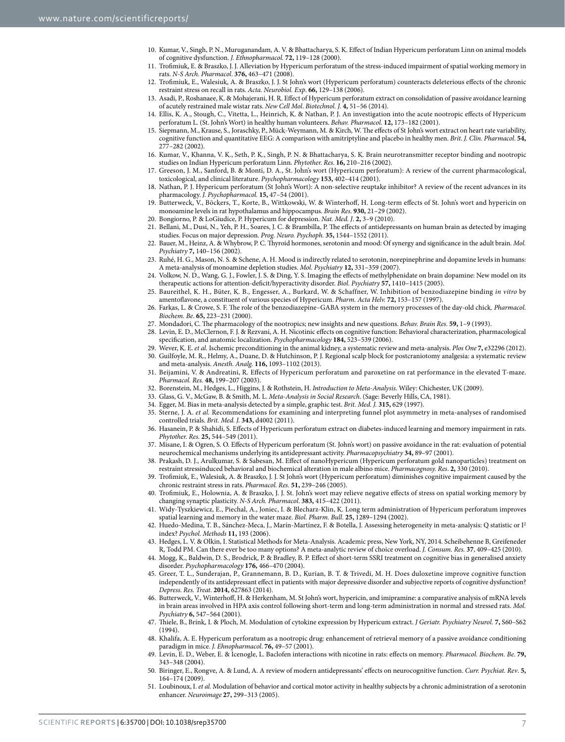- <span id="page-6-17"></span>10. Kumar, V., Singh, P. N., Muruganandam, A. V. & Bhattacharya, S. K. Effect of Indian Hypericum perforatum Linn on animal models of cognitive dysfunction. *J. Ethnopharmacol.* **72,** 119–128 (2000).
- <span id="page-6-28"></span>11. Trofimiuk, E. & Braszko, J. J. Alleviation by Hypericum perforatum of the stress-induced impairment of spatial working memory in rats. *N-S Arch. Pharmacol*. **376,** 463–471 (2008).
- <span id="page-6-0"></span>12. Trofimiuk, E., Walesiuk, A. & Braszko, J. J. St John's wort (Hypericum perforatum) counteracts deleterious effects of the chronic restraint stress on recall in rats. *Acta. Neurobiol. Exp*. **66,** 129–138 (2006).
- <span id="page-6-1"></span>13. Asadi, P., Roshanaee, K. & Mohajerani, H. R. Effect of Hypericum perforatum extract on consolidation of passive avoidance learning of acutely restrained male wistar rats. *New Cell Mol*. *Biotechnol. J.* **4,** 51–56 (2014).
- <span id="page-6-2"></span>14. Ellis, K. A., Stough, C., Vitetta, L., Heinrich, K. & Nathan, P. J. An investigation into the acute nootropic effects of Hypericum perforatum L. (St. John's Wort) in healthy human volunteers. *Behav. Pharmacol.* **12,** 173–182 (2001).
- <span id="page-6-3"></span>15. Siepmann, M., Krause, S., Joraschky, P., Mück-Weymann, M. & Kirch, W. The effects of St John's wort extract on heart rate variability, cognitive function and quantitative EEG: A comparison with amitriptyline and placebo in healthy men. *Brit. J. Clin. Pharmacol*. **54,** 277–282 (2002).
- <span id="page-6-4"></span>16. Kumar, V., Khanna, V. K., Seth, P. K., Singh, P. N. & Bhattacharya, S. K. Brain neurotransmitter receptor binding and nootropic studies on Indian Hypericum perforatum Linn. *Phytother. Res*. **16,** 210–216 (2002).
- <span id="page-6-5"></span>17. Greeson, J. M., Sanford, B. & Monti, D. A., St. John's wort (Hypericum perforatum): A review of the current pharmacological, toxicological, and clinical literature. *Psychopharmacology* **153,** 402–414 (2001).
- <span id="page-6-6"></span>18. Nathan, P. J. Hypericum perforatum (St John's Wort): A non-selective reuptake inhibitor? A review of the recent advances in its pharmacology. *J. Psychopharmacol.* **15,** 47–54 (2001).
- 19. Butterweck, V., Böckers, T., Korte, B., Wittkowski, W. & Winterhoff, H. Long-term effects of St. John's wort and hypericin on monoamine levels in rat hypothalamus and hippocampus. *Brain Res*. **930,** 21–29 (2002).
- 20. Bongiorno, P. & LoGiudice, P. Hypericum for depression. *Nat. Med. J*. **2,** 3–9 (2010).
- <span id="page-6-7"></span>21. Bellani, M., Dusi, N., Yeh, P. H., Soares, J. C. & Brambilla, P. The effects of antidepressants on human brain as detected by imaging studies. Focus on major depression. *Prog. Neuro. Psychoph.* **35,** 1544–1552 (2011).
- <span id="page-6-8"></span>22. Bauer, M., Heinz, A. & Whybrow, P. C. Thyroid hormones, serotonin and mood: Of synergy and significance in the adult brain. *Mol. Psychiatry* **7,** 140–156 (2002).
- <span id="page-6-9"></span>23. Ruhé, H. G., Mason, N. S. & Schene, A. H. Mood is indirectly related to serotonin, norepinephrine and dopamine levels in humans: A meta-analysis of monoamine depletion studies. *Mol. Psychiatry* **12,** 331–359 (2007).
- <span id="page-6-10"></span>24. Volkow, N. D., Wang, G. J., Fowler, J. S. & Ding, Y. S. Imaging the effects of methylphenidate on brain dopamine: New model on its therapeutic actions for attention-deficit/hyperactivity disorder. *Biol. Psychiatry* **57,** 1410–1415 (2005).
- <span id="page-6-11"></span>25. Baureithel, K. H., Büter, K. B., Engesser, A., Burkard, W. & Schaffner, W. Inhibition of benzodiazepine binding *in vitro* by amentoflavone, a constituent of various species of Hypericum. *Pharm. Acta Helv.* **72,** 153–157 (1997).
- <span id="page-6-12"></span>26. Farkas, L. & Crowe, S. F. The role of the benzodiazepine–GABA system in the memory processes of the day-old chick. *Pharmacol. Biochem. Be*. **65,** 223–231 (2000).
- <span id="page-6-13"></span>27. Mondadori, C. The pharmacology of the nootropics; new insights and new questions. *Behav. Brain Res.* **59,** 1–9 (1993).
- <span id="page-6-14"></span>28. Levin, E. D., McClernon, F. J. & Rezvani, A. H. Nicotinic effects on cognitive function: Behavioral characterization, pharmacological specification, and anatomic localization. *Psychopharmacology* **184,** 523–539 (2006).
- <span id="page-6-16"></span><span id="page-6-15"></span>29. Wever, K. E. *et al.* Ischemic preconditioning in the animal kidney, a systematic review and meta-analysis. *Plos One* **7,** e32296 (2012). 30. Guilfoyle, M. R., Helmy, A., Duane, D. & Hutchinson, P. J. Regional scalp block for postcraniotomy analgesia: a systematic review
- <span id="page-6-18"></span>and meta-analysis. *Anesth. Analg.* **116,** 1093–1102 (2013). 31. Beijamini, V. & Andreatini, R. Effects of Hypericum perforatum and paroxetine on rat performance in the elevated T-maze. *Pharmacol. Res.* **48,** 199–207 (2003).
- <span id="page-6-19"></span>32. Borenstein, M., Hedges, L., Higgins, J. & Rothstein, H. *Introduction to Meta-Analysis*. Wiley: Chichester, UK (2009).
- <span id="page-6-20"></span>33. Glass, G. V., McGaw, B. & Smith, M. L. *Meta-Analysis in Social Research*. (Sage: Beverly Hills, CA, 1981).
- <span id="page-6-21"></span>34. Egger, M. Bias in meta-analysis detected by a simple, graphic test. *Brit. Med. J.* **315,** 629 (1997).
- <span id="page-6-22"></span>35. Sterne, J. A. *et al.* Recommendations for examining and interpreting funnel plot asymmetry in meta-analyses of randomised controlled trials. *Brit. Med. J.* **343,** d4002 (2011).
- <span id="page-6-23"></span>36. Hasanein, P. & Shahidi, S. Effects of Hypericum perforatum extract on diabetes‐induced learning and memory impairment in rats. *Phytother. Res.* **25,** 544–549 (2011).
- <span id="page-6-25"></span>37. Misane, I. & Ogren, S. O. Effects of Hypericum perforatum (St. John's wort) on passive avoidance in the rat: evaluation of potential neurochemical mechanisms underlying its antidepressant activity. *Pharmacopsychiatry* **34,** 89–97 (2001).
- <span id="page-6-24"></span>38. Prakash, D. J., Arulkumar, S. & Sabesan, M. Effect of nanoHypericum (Hypericum perforatum gold nanoparticles) treatment on restraint stressinduced behavioral and biochemical alteration in male albino mice. *Pharmacognosy. Res*. **2,** 330 (2010).
- <span id="page-6-27"></span>39. Trofimiuk, E., Walesiuk, A. & Braszko, J. J. St John's wort (Hypericum perforatum) diminishes cognitive impairment caused by the chronic restraint stress in rats. *Pharmacol. Res.* **51,** 239–246 (2005).
- <span id="page-6-29"></span>40. Trofimiuk, E., Holownia, A. & Braszko, J. J. St. John's wort may relieve negative effects of stress on spatial working memory by changing synaptic plasticity. *N-S Arch. Pharmacol*. **383,** 415–422 (2011).
- <span id="page-6-26"></span>41. Widy-Tyszkiewicz, E., Piechal, A., Joniec, I. & Blecharz-Klin, K. Long term administration of Hypericum perforatum improves spatial learning and memory in the water maze. *Biol. Pharm. Bull.* **25,** 1289–1294 (2002).
- <span id="page-6-30"></span>42. Huedo-Medina, T. B., Sánchez-Meca, J., Marín-Martínez, F. & Botella, J. Assessing heterogeneity in meta-analysis: Q statistic or I2 index? *Psychol. Methods* **11,** 193 (2006).
- <span id="page-6-31"></span>43. Hedges, L. V. & Olkin, I. Statistical Methods for Meta-Analysis. Academic press, New York, NY, 2014. Scheibehenne B, Greifeneder R, Todd PM. Can there ever be too many options? A meta-analytic review of choice overload. *J. Consum. Res.* **37**, 409–425 (2010).
- <span id="page-6-32"></span>44. Mogg, K., Baldwin, D. S., Brodrick, P. & Bradley, B. P. Effect of short-term SSRI treatment on cognitive bias in generalised anxiety disorder. *Psychopharmacology* **176,** 466–470 (2004).
- <span id="page-6-33"></span>45. Greer, T. L., Sunderajan, P., Grannemann, B. D., Kurian, B. T. & Trivedi, M. H. Does duloxetine improve cognitive function independently of its antidepressant effect in patients with major depressive disorder and subjective reports of cognitive dysfunction? *Depress*. *Res. Treat.* **2014,** 627863 (2014).
- <span id="page-6-34"></span>46. Butterweck, V., Winterhoff, H. & Herkenham, M. St John's wort, hypericin, and imipramine: a comparative analysis of mRNA levels in brain areas involved in HPA axis control following short-term and long-term administration in normal and stressed rats. *Mol. Psychiatry* **6,** 547–564 (2001).
- <span id="page-6-35"></span>47. Thiele, B., Brink, I. & Ploch, M. Modulation of cytokine expression by Hypericum extract. *J Geriatr. Psychiatry Neurol.* **7,** S60–S62 (1994).
- <span id="page-6-36"></span>48. Khalifa, A. E. Hypericum perforatum as a nootropic drug: enhancement of retrieval memory of a passive avoidance conditioning paradigm in mice. *J. Ehnopharmacol*. **76,** 49–57 (2001).
- <span id="page-6-37"></span>49. Levin, E. D., Weber, E. & Icenogle, L. Baclofen interactions with nicotine in rats: effects on memory. *Pharmacol. Biochem. Be*. **79,** 343–348 (2004).
- <span id="page-6-38"></span>50. Biringer, E., Rongve, A. & Lund, A. A review of modern antidepressants' effects on neurocognitive function. *Curr. Psychiat. Rev*. **5,** 164–174 (2009).
- <span id="page-6-39"></span>51. Loubinoux, I. *et al.* Modulation of behavior and cortical motor activity in healthy subjects by a chronic administration of a serotonin enhancer. *Neuroimage* **27,** 299–313 (2005).